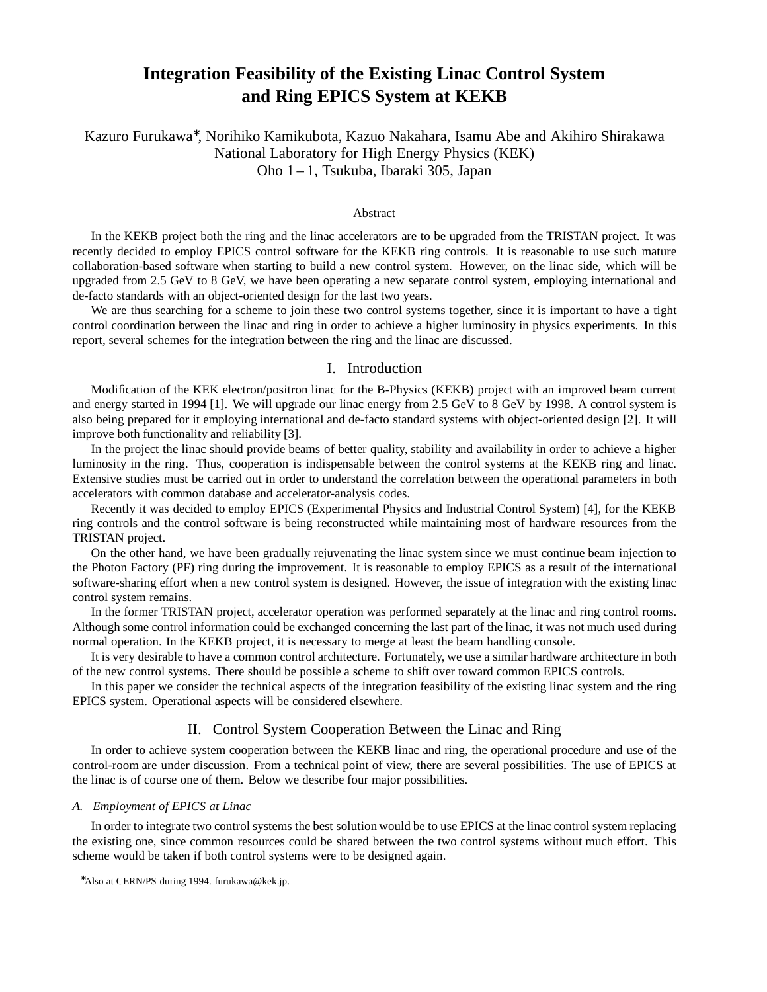# **Integration Feasibility of the Existing Linac Control System and Ring EPICS System at KEKB**

Kazuro Furukawa<sup>∗</sup>, Norihiko Kamikubota, Kazuo Nakahara, Isamu Abe and Akihiro Shirakawa National Laboratory for High Energy Physics (KEK) Oho 1 – 1, Tsukuba, Ibaraki 305, Japan

### Abstract

In the KEKB project both the ring and the linac accelerators are to be upgraded from the TRISTAN project. It was recently decided to employ EPICS control software for the KEKB ring controls. It is reasonable to use such mature collaboration-based software when starting to build a new control system. However, on the linac side, which will be upgraded from 2.5 GeV to 8 GeV, we have been operating a new separate control system, employing international and de-facto standards with an object-oriented design for the last two years.

We are thus searching for a scheme to join these two control systems together, since it is important to have a tight control coordination between the linac and ring in order to achieve a higher luminosity in physics experiments. In this report, several schemes for the integration between the ring and the linac are discussed.

## I. Introduction

Modification of the KEK electron/positron linac for the B-Physics (KEKB) project with an improved beam current and energy started in 1994 [1]. We will upgrade our linac energy from 2.5 GeV to 8 GeV by 1998. A control system is also being prepared for it employing international and de-facto standard systems with object-oriented design [2]. It will improve both functionality and reliability [3].

In the project the linac should provide beams of better quality, stability and availability in order to achieve a higher luminosity in the ring. Thus, cooperation is indispensable between the control systems at the KEKB ring and linac. Extensive studies must be carried out in order to understand the correlation between the operational parameters in both accelerators with common database and accelerator-analysis codes.

Recently it was decided to employ EPICS (Experimental Physics and Industrial Control System) [4], for the KEKB ring controls and the control software is being reconstructed while maintaining most of hardware resources from the TRISTAN project.

On the other hand, we have been gradually rejuvenating the linac system since we must continue beam injection to the Photon Factory (PF) ring during the improvement. It is reasonable to employ EPICS as a result of the international software-sharing effort when a new control system is designed. However, the issue of integration with the existing linac control system remains.

In the former TRISTAN project, accelerator operation was performed separately at the linac and ring control rooms. Although some control information could be exchanged concerning the last part of the linac, it was not much used during normal operation. In the KEKB project, it is necessary to merge at least the beam handling console.

It is very desirable to have a common control architecture. Fortunately, we use a similar hardware architecture in both of the new control systems. There should be possible a scheme to shift over toward common EPICS controls.

In this paper we consider the technical aspects of the integration feasibility of the existing linac system and the ring EPICS system. Operational aspects will be considered elsewhere.

# II. Control System Cooperation Between the Linac and Ring

In order to achieve system cooperation between the KEKB linac and ring, the operational procedure and use of the control-room are under discussion. From a technical point of view, there are several possibilities. The use of EPICS at the linac is of course one of them. Below we describe four major possibilities.

## *A. Employment of EPICS at Linac*

In order to integrate two control systems the best solution would be to use EPICS at the linac control system replacing the existing one, since common resources could be shared between the two control systems without much effort. This scheme would be taken if both control systems were to be designed again.

<sup>∗</sup>Also at CERN/PS during 1994. furukawa@kek.jp.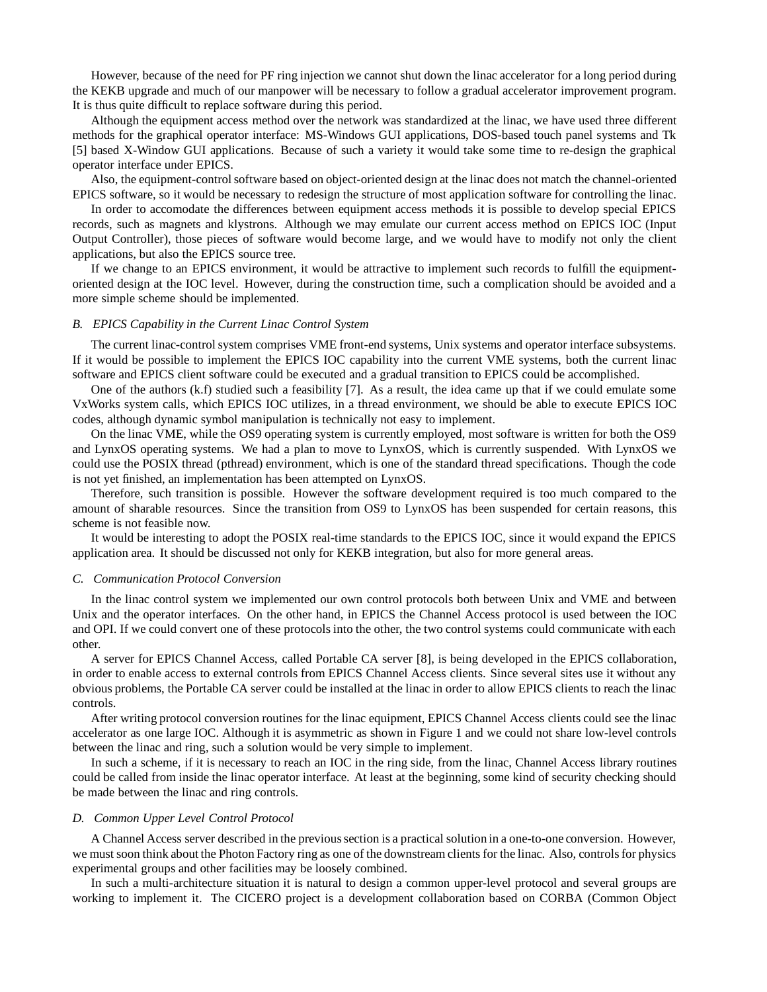However, because of the need for PF ring injection we cannot shut down the linac accelerator for a long period during the KEKB upgrade and much of our manpower will be necessary to follow a gradual accelerator improvement program. It is thus quite difficult to replace software during this period.

Although the equipment access method over the network was standardized at the linac, we have used three different methods for the graphical operator interface: MS-Windows GUI applications, DOS-based touch panel systems and Tk [5] based X-Window GUI applications. Because of such a variety it would take some time to re-design the graphical operator interface under EPICS.

Also, the equipment-control software based on object-oriented design at the linac does not match the channel-oriented EPICS software, so it would be necessary to redesign the structure of most application software for controlling the linac.

In order to accomodate the differences between equipment access methods it is possible to develop special EPICS records, such as magnets and klystrons. Although we may emulate our current access method on EPICS IOC (Input Output Controller), those pieces of software would become large, and we would have to modify not only the client applications, but also the EPICS source tree.

If we change to an EPICS environment, it would be attractive to implement such records to fulfill the equipmentoriented design at the IOC level. However, during the construction time, such a complication should be avoided and a more simple scheme should be implemented.

## *B. EPICS Capability in the Current Linac Control System*

The current linac-control system comprises VME front-end systems, Unix systems and operator interface subsystems. If it would be possible to implement the EPICS IOC capability into the current VME systems, both the current linac software and EPICS client software could be executed and a gradual transition to EPICS could be accomplished.

One of the authors (k.f) studied such a feasibility [7]. As a result, the idea came up that if we could emulate some VxWorks system calls, which EPICS IOC utilizes, in a thread environment, we should be able to execute EPICS IOC codes, although dynamic symbol manipulation is technically not easy to implement.

On the linac VME, while the OS9 operating system is currently employed, most software is written for both the OS9 and LynxOS operating systems. We had a plan to move to LynxOS, which is currently suspended. With LynxOS we could use the POSIX thread (pthread) environment, which is one of the standard thread specifications. Though the code is not yet finished, an implementation has been attempted on LynxOS.

Therefore, such transition is possible. However the software development required is too much compared to the amount of sharable resources. Since the transition from OS9 to LynxOS has been suspended for certain reasons, this scheme is not feasible now.

It would be interesting to adopt the POSIX real-time standards to the EPICS IOC, since it would expand the EPICS application area. It should be discussed not only for KEKB integration, but also for more general areas.

#### *C. Communication Protocol Conversion*

In the linac control system we implemented our own control protocols both between Unix and VME and between Unix and the operator interfaces. On the other hand, in EPICS the Channel Access protocol is used between the IOC and OPI. If we could convert one of these protocols into the other, the two control systems could communicate with each other.

A server for EPICS Channel Access, called Portable CA server [8], is being developed in the EPICS collaboration, in order to enable access to external controls from EPICS Channel Access clients. Since several sites use it without any obvious problems, the Portable CA server could be installed at the linac in order to allow EPICS clients to reach the linac controls.

After writing protocol conversion routines for the linac equipment, EPICS Channel Access clients could see the linac accelerator as one large IOC. Although it is asymmetric as shown in Figure 1 and we could not share low-level controls between the linac and ring, such a solution would be very simple to implement.

In such a scheme, if it is necessary to reach an IOC in the ring side, from the linac, Channel Access library routines could be called from inside the linac operator interface. At least at the beginning, some kind of security checking should be made between the linac and ring controls.

#### *D. Common Upper Level Control Protocol*

A Channel Access server described in the previous section is a practical solution in a one-to-one conversion. However, we must soon think about the Photon Factory ring as one of the downstream clients for the linac. Also, controls for physics experimental groups and other facilities may be loosely combined.

In such a multi-architecture situation it is natural to design a common upper-level protocol and several groups are working to implement it. The CICERO project is a development collaboration based on CORBA (Common Object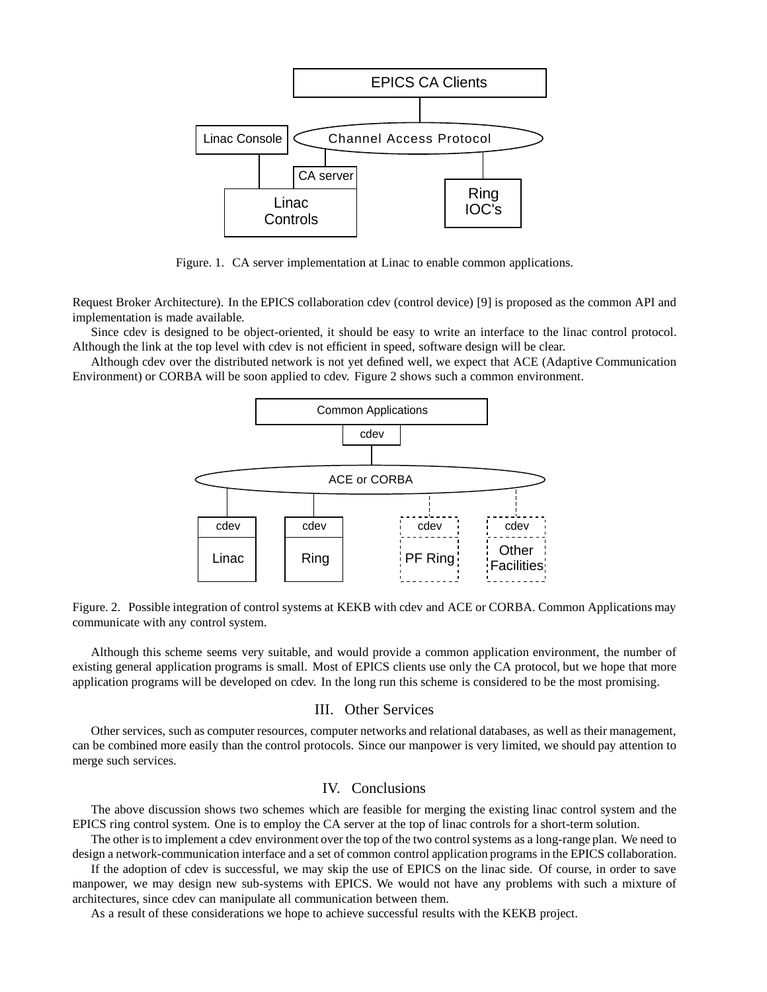

Figure. 1. CA server implementation at Linac to enable common applications.

Request Broker Architecture). In the EPICS collaboration cdev (control device) [9] is proposed as the common API and implementation is made available.

Since cdev is designed to be object-oriented, it should be easy to write an interface to the linac control protocol. Although the link at the top level with cdev is not efficient in speed, software design will be clear.

Although cdev over the distributed network is not yet defined well, we expect that ACE (Adaptive Communication Environment) or CORBA will be soon applied to cdev. Figure 2 shows such a common environment.



Figure. 2. Possible integration of control systems at KEKB with cdev and ACE or CORBA. Common Applications may communicate with any control system.

Although this scheme seems very suitable, and would provide a common application environment, the number of existing general application programs is small. Most of EPICS clients use only the CA protocol, but we hope that more application programs will be developed on cdev. In the long run this scheme is considered to be the most promising.

# III. Other Services

Other services, such as computer resources, computer networks and relational databases, as well as their management, can be combined more easily than the control protocols. Since our manpower is very limited, we should pay attention to merge such services.

# IV. Conclusions

The above discussion shows two schemes which are feasible for merging the existing linac control system and the EPICS ring control system. One is to employ the CA server at the top of linac controls for a short-term solution.

The other is to implement a cdev environment over the top of the two control systems as a long-range plan. We need to design a network-communication interface and a set of common control application programs in the EPICS collaboration.

If the adoption of cdev is successful, we may skip the use of EPICS on the linac side. Of course, in order to save manpower, we may design new sub-systems with EPICS. We would not have any problems with such a mixture of architectures, since cdev can manipulate all communication between them.

As a result of these considerations we hope to achieve successful results with the KEKB project.